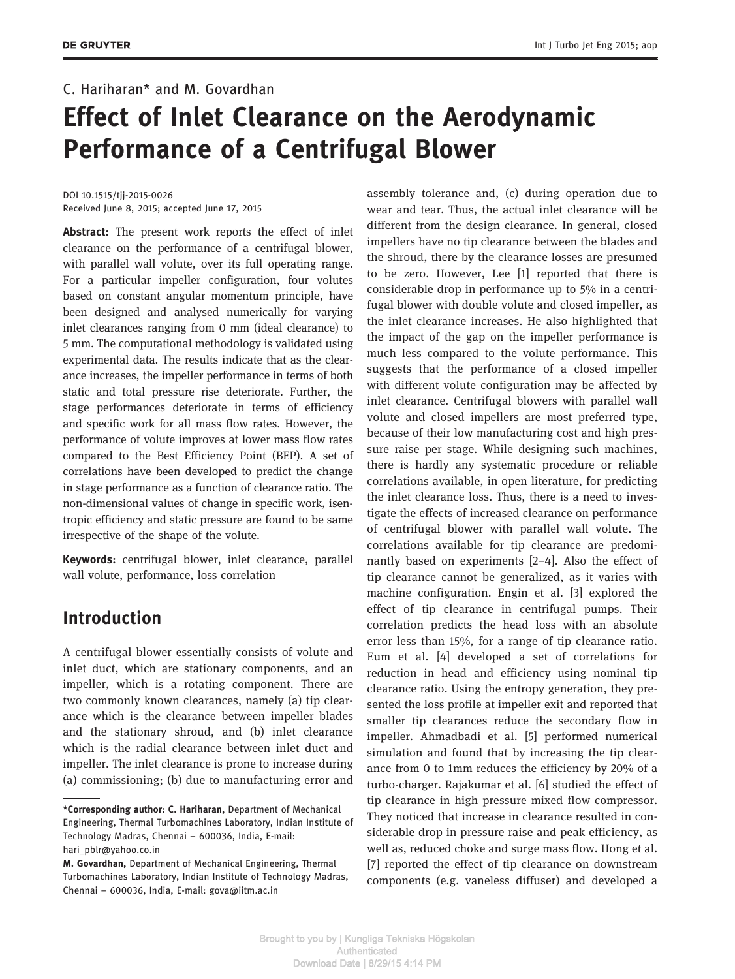# C. Hariharan\* and M. Govardhan

# Effect of Inlet Clearance on the Aerodynamic Performance of a Centrifugal Blower

DOI 10.1515/tjj-2015-0026 Received June 8, 2015; accepted June 17, 2015

Abstract: The present work reports the effect of inlet clearance on the performance of a centrifugal blower, with parallel wall volute, over its full operating range. For a particular impeller configuration, four volutes based on constant angular momentum principle, have been designed and analysed numerically for varying inlet clearances ranging from 0 mm (ideal clearance) to 5 mm. The computational methodology is validated using experimental data. The results indicate that as the clearance increases, the impeller performance in terms of both static and total pressure rise deteriorate. Further, the stage performances deteriorate in terms of efficiency and specific work for all mass flow rates. However, the performance of volute improves at lower mass flow rates compared to the Best Efficiency Point (BEP). A set of correlations have been developed to predict the change in stage performance as a function of clearance ratio. The non-dimensional values of change in specific work, isentropic efficiency and static pressure are found to be same irrespective of the shape of the volute.

Keywords: centrifugal blower, inlet clearance, parallel wall volute, performance, loss correlation

# Introduction

A centrifugal blower essentially consists of volute and inlet duct, which are stationary components, and an impeller, which is a rotating component. There are two commonly known clearances, namely (a) tip clearance which is the clearance between impeller blades and the stationary shroud, and (b) inlet clearance which is the radial clearance between inlet duct and impeller. The inlet clearance is prone to increase during (a) commissioning; (b) due to manufacturing error and

assembly tolerance and, (c) during operation due to wear and tear. Thus, the actual inlet clearance will be different from the design clearance. In general, closed impellers have no tip clearance between the blades and the shroud, there by the clearance losses are presumed to be zero. However, Lee [1] reported that there is considerable drop in performance up to 5% in a centrifugal blower with double volute and closed impeller, as the inlet clearance increases. He also highlighted that the impact of the gap on the impeller performance is much less compared to the volute performance. This suggests that the performance of a closed impeller with different volute configuration may be affected by inlet clearance. Centrifugal blowers with parallel wall volute and closed impellers are most preferred type, because of their low manufacturing cost and high pressure raise per stage. While designing such machines, there is hardly any systematic procedure or reliable correlations available, in open literature, for predicting the inlet clearance loss. Thus, there is a need to investigate the effects of increased clearance on performance of centrifugal blower with parallel wall volute. The correlations available for tip clearance are predominantly based on experiments [2–4]. Also the effect of tip clearance cannot be generalized, as it varies with machine configuration. Engin et al. [3] explored the effect of tip clearance in centrifugal pumps. Their correlation predicts the head loss with an absolute error less than 15%, for a range of tip clearance ratio. Eum et al. [4] developed a set of correlations for reduction in head and efficiency using nominal tip clearance ratio. Using the entropy generation, they presented the loss profile at impeller exit and reported that smaller tip clearances reduce the secondary flow in impeller. Ahmadbadi et al. [5] performed numerical simulation and found that by increasing the tip clearance from 0 to 1mm reduces the efficiency by 20% of a turbo-charger. Rajakumar et al. [6] studied the effect of tip clearance in high pressure mixed flow compressor. They noticed that increase in clearance resulted in considerable drop in pressure raise and peak efficiency, as well as, reduced choke and surge mass flow. Hong et al. [7] reported the effect of tip clearance on downstream components (e.g. vaneless diffuser) and developed a

<sup>\*</sup>Corresponding author: C. Hariharan, Department of Mechanical Engineering, Thermal Turbomachines Laboratory, Indian Institute of Technology Madras, Chennai – 600036, India, E-mail: hari\_pblr@yahoo.co.in

M. Govardhan, Department of Mechanical Engineering, Thermal Turbomachines Laboratory, Indian Institute of Technology Madras, Chennai – 600036, India, E-mail: gova@iitm.ac.in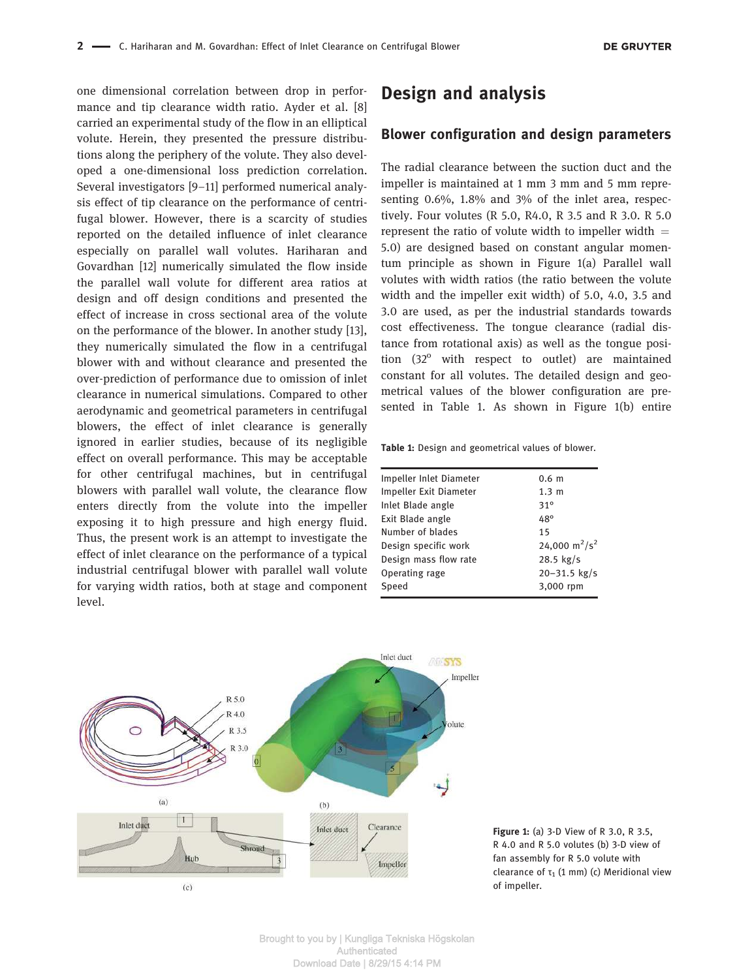one dimensional correlation between drop in performance and tip clearance width ratio. Ayder et al. [8] carried an experimental study of the flow in an elliptical volute. Herein, they presented the pressure distributions along the periphery of the volute. They also developed a one-dimensional loss prediction correlation. Several investigators [9–11] performed numerical analysis effect of tip clearance on the performance of centrifugal blower. However, there is a scarcity of studies reported on the detailed influence of inlet clearance especially on parallel wall volutes. Hariharan and Govardhan [12] numerically simulated the flow inside the parallel wall volute for different area ratios at design and off design conditions and presented the effect of increase in cross sectional area of the volute on the performance of the blower. In another study [13], they numerically simulated the flow in a centrifugal blower with and without clearance and presented the over-prediction of performance due to omission of inlet clearance in numerical simulations. Compared to other aerodynamic and geometrical parameters in centrifugal blowers, the effect of inlet clearance is generally ignored in earlier studies, because of its negligible effect on overall performance. This may be acceptable for other centrifugal machines, but in centrifugal blowers with parallel wall volute, the clearance flow enters directly from the volute into the impeller exposing it to high pressure and high energy fluid. Thus, the present work is an attempt to investigate the effect of inlet clearance on the performance of a typical industrial centrifugal blower with parallel wall volute for varying width ratios, both at stage and component level.

# Design and analysis

### Blower configuration and design parameters

The radial clearance between the suction duct and the impeller is maintained at 1 mm 3 mm and 5 mm representing 0.6%, 1.8% and 3% of the inlet area, respectively. Four volutes (R 5.0, R4.0, R 3.5 and R 3.0. R 5.0 represent the ratio of volute width to impeller width  $=$ 5.0) are designed based on constant angular momentum principle as shown in Figure 1(a) Parallel wall volutes with width ratios (the ratio between the volute width and the impeller exit width) of 5.0, 4.0, 3.5 and 3.0 are used, as per the industrial standards towards cost effectiveness. The tongue clearance (radial distance from rotational axis) as well as the tongue position  $(32^{\circ}$  with respect to outlet) are maintained constant for all volutes. The detailed design and geometrical values of the blower configuration are presented in Table 1. As shown in Figure 1(b) entire

Table 1: Design and geometrical values of blower.

| Impeller Inlet Diameter | 0.6 <sub>m</sub>                      |
|-------------------------|---------------------------------------|
| Impeller Exit Diameter  | 1.3 <sub>m</sub>                      |
| Inlet Blade angle       | $31^\circ$                            |
| Exit Blade angle        | 48°                                   |
| Number of blades        | 15                                    |
| Design specific work    | 24,000 m <sup>2</sup> /s <sup>2</sup> |
| Design mass flow rate   | $28.5$ kg/s                           |
| Operating rage          | $20 - 31.5$ kg/s                      |
| Speed                   | 3,000 rpm                             |
|                         |                                       |



Figure 1: (a) 3-D View of R 3.0, R 3.5, R 4.0 and R 5.0 volutes (b) 3-D view of fan assembly for R 5.0 volute with clearance of  $\tau_1$  (1 mm) (c) Meridional view of impeller.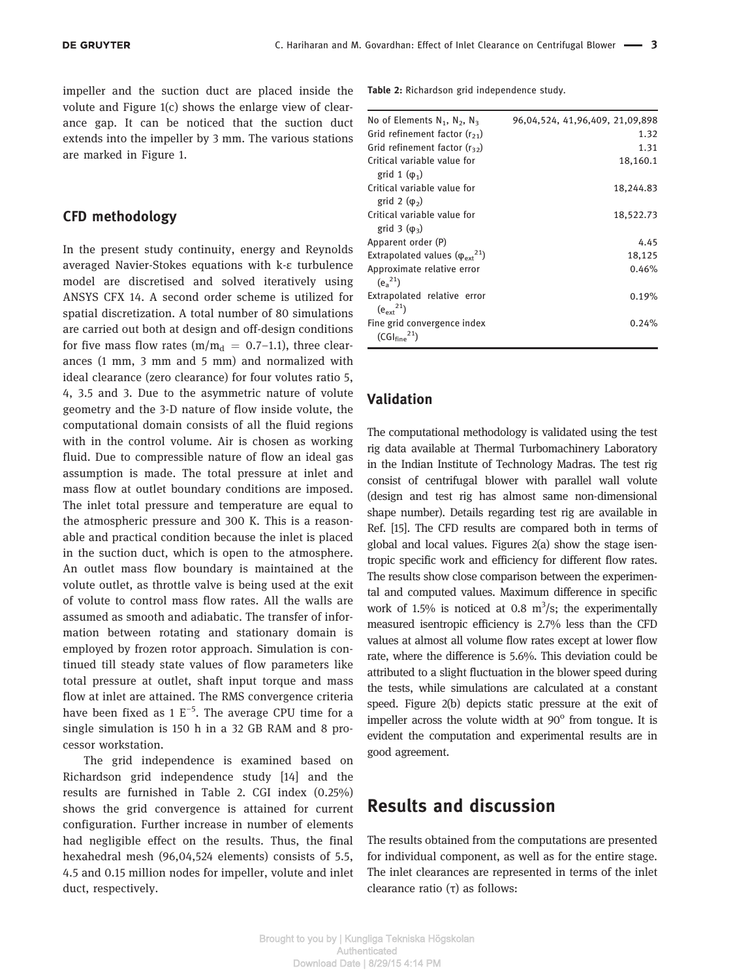impeller and the suction duct are placed inside the volute and Figure 1(c) shows the enlarge view of clearance gap. It can be noticed that the suction duct extends into the impeller by 3 mm. The various stations are marked in Figure 1.

### CFD methodology

In the present study continuity, energy and Reynolds averaged Navier-Stokes equations with k-ε turbulence model are discretised and solved iteratively using ANSYS CFX 14. A second order scheme is utilized for spatial discretization. A total number of 80 simulations are carried out both at design and off-design conditions for five mass flow rates (m/m<sub>d</sub> = 0.7–1.1), three clearances (1 mm, 3 mm and 5 mm) and normalized with ideal clearance (zero clearance) for four volutes ratio 5, 4, 3.5 and 3. Due to the asymmetric nature of volute geometry and the 3-D nature of flow inside volute, the computational domain consists of all the fluid regions with in the control volume. Air is chosen as working fluid. Due to compressible nature of flow an ideal gas assumption is made. The total pressure at inlet and mass flow at outlet boundary conditions are imposed. The inlet total pressure and temperature are equal to the atmospheric pressure and 300 K. This is a reasonable and practical condition because the inlet is placed in the suction duct, which is open to the atmosphere. An outlet mass flow boundary is maintained at the volute outlet, as throttle valve is being used at the exit of volute to control mass flow rates. All the walls are assumed as smooth and adiabatic. The transfer of information between rotating and stationary domain is employed by frozen rotor approach. Simulation is continued till steady state values of flow parameters like total pressure at outlet, shaft input torque and mass flow at inlet are attained. The RMS convergence criteria have been fixed as 1  $E^{-5}$ . The average CPU time for a single simulation is 150 h in a 32 GB RAM and 8 processor workstation.

The grid independence is examined based on Richardson grid independence study [14] and the results are furnished in Table 2. CGI index (0.25%) shows the grid convergence is attained for current configuration. Further increase in number of elements had negligible effect on the results. Thus, the final hexahedral mesh (96,04,524 elements) consists of 5.5, 4.5 and 0.15 million nodes for impeller, volute and inlet duct, respectively.

Table 2: Richardson grid independence study.

| No of Elements $N_1$ , $N_2$ , $N_3$                                | 96,04,524, 41,96,409, 21,09,898 |
|---------------------------------------------------------------------|---------------------------------|
| Grid refinement factor $(r_{21})$                                   | 1.32                            |
| Grid refinement factor $(r_{32})$                                   | 1.31                            |
| Critical variable value for<br>grid 1 $(\varphi_1)$                 | 18,160.1                        |
| Critical variable value for<br>grid 2 $(\varphi_2)$                 | 18,244.83                       |
| Critical variable value for<br>grid $3(\phi_3)$                     | 18,522.73                       |
| Apparent order (P)                                                  | 4.45                            |
| Extrapolated values $(\varphi_{\text{ext}}^2)$                      | 18,125                          |
| Approximate relative error<br>$(e^{-21})$                           | 0.46%                           |
| Extrapolated relative error<br>$(e_{\text{ov}t}^{21})$              | 0.19%                           |
| Fine grid convergence index<br>(CGl <sub>fine</sub> <sup>21</sup> ) | 0.24%                           |

### Validation

The computational methodology is validated using the test rig data available at Thermal Turbomachinery Laboratory in the Indian Institute of Technology Madras. The test rig consist of centrifugal blower with parallel wall volute (design and test rig has almost same non-dimensional shape number). Details regarding test rig are available in Ref. [15]. The CFD results are compared both in terms of global and local values. Figures 2(a) show the stage isentropic specific work and efficiency for different flow rates. The results show close comparison between the experimental and computed values. Maximum difference in specific work of 1.5% is noticed at 0.8  $m^3/s$ ; the experimentally measured isentropic efficiency is 2.7% less than the CFD values at almost all volume flow rates except at lower flow rate, where the difference is 5.6%. This deviation could be attributed to a slight fluctuation in the blower speed during the tests, while simulations are calculated at a constant speed. Figure 2(b) depicts static pressure at the exit of impeller across the volute width at 90° from tongue. It is evident the computation and experimental results are in good agreement.

### Results and discussion

The results obtained from the computations are presented for individual component, as well as for the entire stage. The inlet clearances are represented in terms of the inlet clearance ratio (τ) as follows: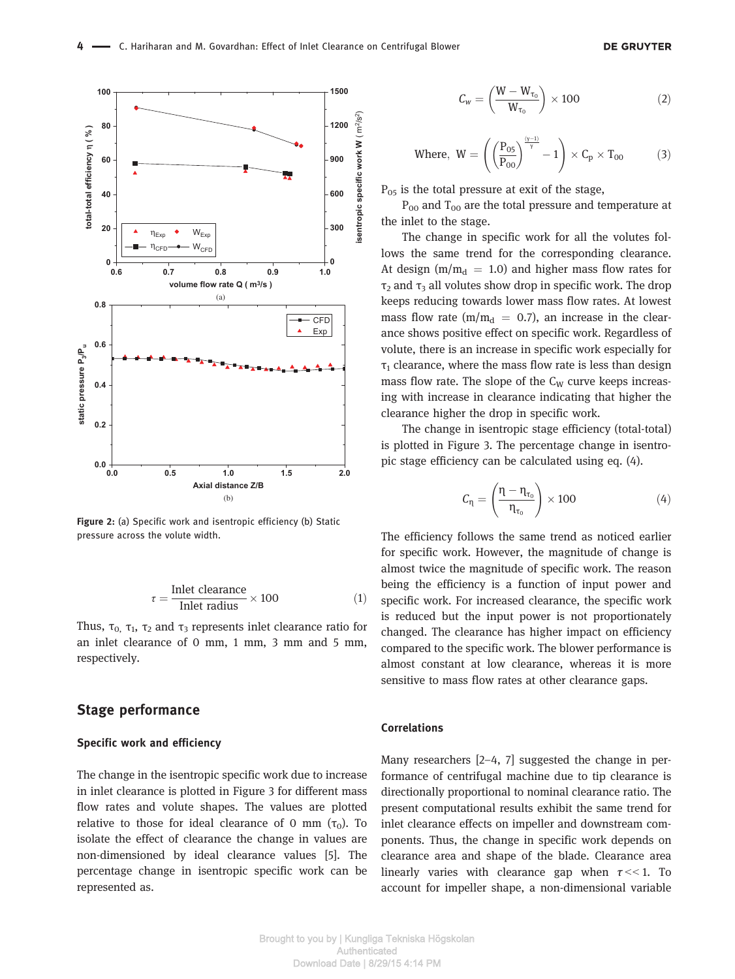



Figure 2: (a) Specific work and isentropic efficiency (b) Static pressure across the volute width.

$$
\tau = \frac{\text{Inlet clearance}}{\text{Inlet radius}} \times 100 \tag{1}
$$

Thus, τ<sub>0,</sub> τ<sub>1</sub>, τ<sub>2</sub> and τ<sub>3</sub> represents inlet clearance ratio for an inlet clearance of 0 mm, 1 mm, 3 mm and 5 mm, respectively.

### Stage performance

#### Specific work and efficiency

The change in the isentropic specific work due to increase in inlet clearance is plotted in Figure 3 for different mass flow rates and volute shapes. The values are plotted relative to those for ideal clearance of 0 mm  $(\tau_0)$ . To isolate the effect of clearance the change in values are non-dimensioned by ideal clearance values [5]. The percentage change in isentropic specific work can be represented as.

$$
C_w = \left(\frac{W - W_{\tau_0}}{W_{\tau_0}}\right) \times 100\tag{2}
$$

$$
\text{Where, } W = \left( \left( \frac{P_{05}}{P_{00}} \right)^{\frac{(\gamma-1)}{\gamma}} - 1 \right) \times C_p \times T_{00} \tag{3}
$$

 $P_{05}$  is the total pressure at exit of the stage,

 $P_{00}$  and  $T_{00}$  are the total pressure and temperature at the inlet to the stage.

The change in specific work for all the volutes follows the same trend for the corresponding clearance. At design ( $m/m_d$  = 1.0) and higher mass flow rates for  $\tau_2$  and  $\tau_3$  all volutes show drop in specific work. The drop keeps reducing towards lower mass flow rates. At lowest mass flow rate ( $m/m_d = 0.7$ ), an increase in the clearance shows positive effect on specific work. Regardless of volute, there is an increase in specific work especially for  $\tau_1$  clearance, where the mass flow rate is less than design mass flow rate. The slope of the  $C_W$  curve keeps increasing with increase in clearance indicating that higher the clearance higher the drop in specific work.

The change in isentropic stage efficiency (total-total) is plotted in Figure 3. The percentage change in isentropic stage efficiency can be calculated using eq. (4).

$$
C_{\eta} = \left(\frac{\eta - \eta_{\tau_0}}{\eta_{\tau_0}}\right) \times 100\tag{4}
$$

The efficiency follows the same trend as noticed earlier for specific work. However, the magnitude of change is almost twice the magnitude of specific work. The reason being the efficiency is a function of input power and specific work. For increased clearance, the specific work is reduced but the input power is not proportionately changed. The clearance has higher impact on efficiency compared to the specific work. The blower performance is almost constant at low clearance, whereas it is more sensitive to mass flow rates at other clearance gaps.

### Correlations

Many researchers [2–4, 7] suggested the change in performance of centrifugal machine due to tip clearance is directionally proportional to nominal clearance ratio. The present computational results exhibit the same trend for inlet clearance effects on impeller and downstream components. Thus, the change in specific work depends on clearance area and shape of the blade. Clearance area linearly varies with clearance gap when  $\tau$  << 1. To account for impeller shape, a non-dimensional variable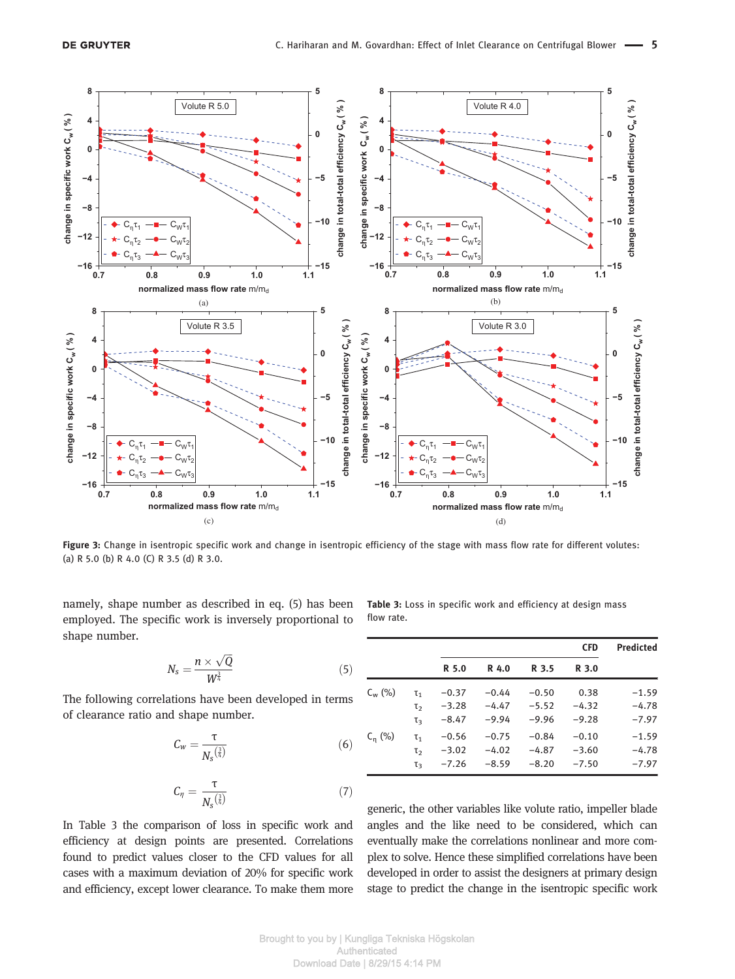

Figure 3: Change in isentropic specific work and change in isentropic efficiency of the stage with mass flow rate for different volutes: (a) R 5.0 (b) R 4.0 (C) R 3.5 (d) R 3.0.

namely, shape number as described in eq. (5) has been employed. The specific work is inversely proportional to shape number.

$$
N_s = \frac{n \times \sqrt{Q}}{W^{\frac{3}{4}}} \tag{5}
$$

The following correlations have been developed in terms of clearance ratio and shape number.

$$
C_W = \frac{\tau}{N_s^{\left(\frac{2}{4}\right)}}\tag{6}
$$

$$
C_{\eta} = \frac{\tau}{N_s^{\left(\frac{2}{4}\right)}}\tag{7}
$$

In Table 3 the comparison of loss in specific work and efficiency at design points are presented. Correlations found to predict values closer to the CFD values for all cases with a maximum deviation of 20% for specific work and efficiency, except lower clearance. To make them more Table 3: Loss in specific work and efficiency at design mass flow rate.

|             |                  | <b>CFD</b> |         |         | <b>Predicted</b> |         |
|-------------|------------------|------------|---------|---------|------------------|---------|
|             |                  | R 5.0      | R 4.0   | R 3.5   | R 3.0            |         |
| $C_{w}$ (%) | $\mathsf{T}_1$   | $-0.37$    | $-0.44$ | $-0.50$ | 0.38             | $-1.59$ |
|             | $\mathsf{T}_2$   | $-3.28$    | $-4.47$ | $-5.52$ | $-4.32$          | $-4.78$ |
|             | τą               | $-8.47$    | $-9.94$ | $-9.96$ | $-9.28$          | $-7.97$ |
| $C_n$ (%)   | $\mathsf{T}_1$   | $-0.56$    | $-0.75$ | $-0.84$ | $-0.10$          | $-1.59$ |
|             | $\mathsf{T}_{2}$ | $-3.02$    | $-4.02$ | $-4.87$ | $-3.60$          | $-4.78$ |
|             | τą               | $-7.26$    | $-8.59$ | $-8.20$ | $-7.50$          | $-7.97$ |

generic, the other variables like volute ratio, impeller blade angles and the like need to be considered, which can eventually make the correlations nonlinear and more complex to solve. Hence these simplified correlations have been developed in order to assist the designers at primary design stage to predict the change in the isentropic specific work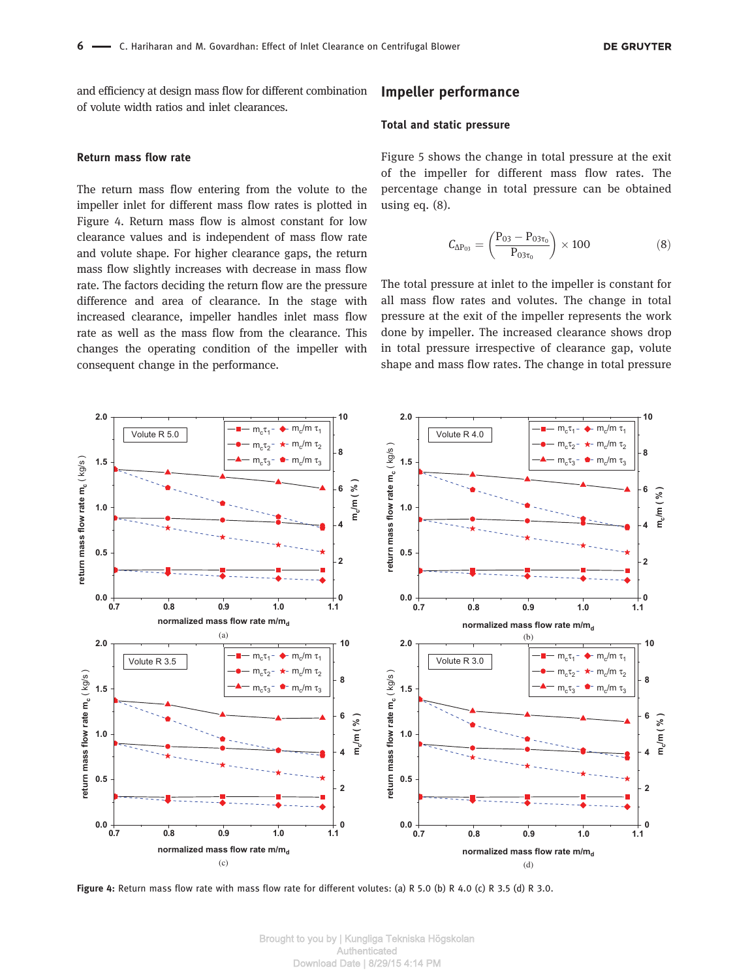and efficiency at design mass flow for different combination of volute width ratios and inlet clearances.

#### Return mass flow rate

The return mass flow entering from the volute to the impeller inlet for different mass flow rates is plotted in Figure 4. Return mass flow is almost constant for low clearance values and is independent of mass flow rate and volute shape. For higher clearance gaps, the return mass flow slightly increases with decrease in mass flow rate. The factors deciding the return flow are the pressure difference and area of clearance. In the stage with increased clearance, impeller handles inlet mass flow rate as well as the mass flow from the clearance. This changes the operating condition of the impeller with consequent change in the performance.

### Impeller performance

#### Total and static pressure

Figure 5 shows the change in total pressure at the exit of the impeller for different mass flow rates. The percentage change in total pressure can be obtained using eq. (8).

$$
C_{\Delta P_{03}} = \left(\frac{P_{03} - P_{03\tau_0}}{P_{03\tau_0}}\right) \times 100\tag{8}
$$

The total pressure at inlet to the impeller is constant for all mass flow rates and volutes. The change in total pressure at the exit of the impeller represents the work done by impeller. The increased clearance shows drop in total pressure irrespective of clearance gap, volute shape and mass flow rates. The change in total pressure



Figure 4: Return mass flow rate with mass flow rate for different volutes: (a) R 5.0 (b) R 4.0 (c) R 3.5 (d) R 3.0.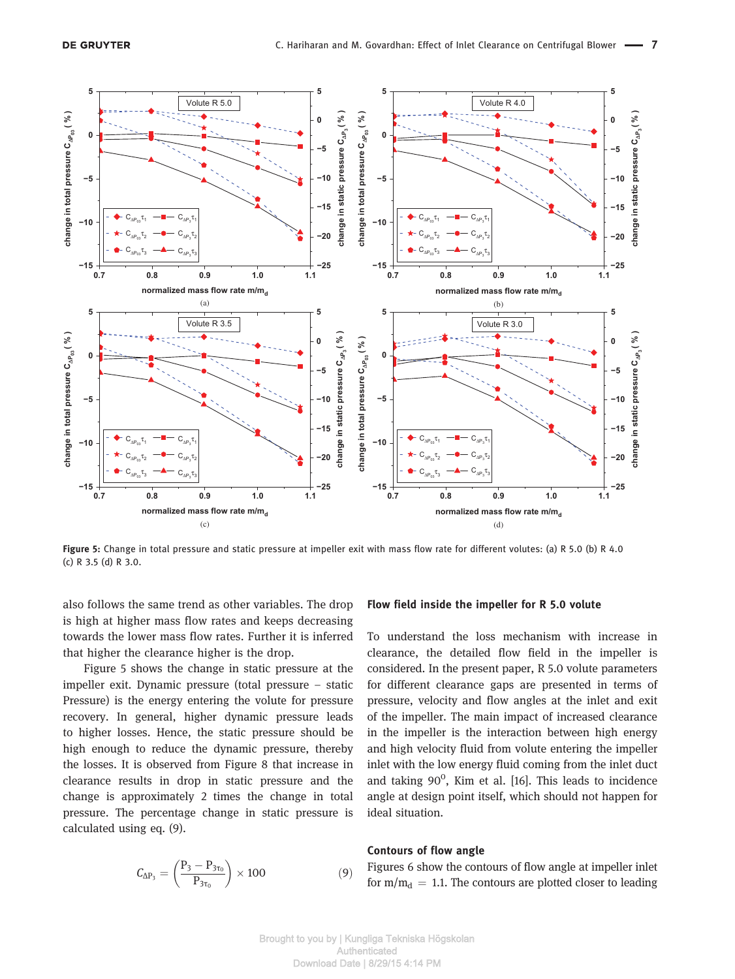

Figure 5: Change in total pressure and static pressure at impeller exit with mass flow rate for different volutes: (a) R 5.0 (b) R 4.0 (c) R 3.5 (d) R 3.0.

also follows the same trend as other variables. The drop is high at higher mass flow rates and keeps decreasing towards the lower mass flow rates. Further it is inferred that higher the clearance higher is the drop.

Figure 5 shows the change in static pressure at the impeller exit. Dynamic pressure (total pressure – static Pressure) is the energy entering the volute for pressure recovery. In general, higher dynamic pressure leads to higher losses. Hence, the static pressure should be high enough to reduce the dynamic pressure, thereby the losses. It is observed from Figure 8 that increase in clearance results in drop in static pressure and the change is approximately 2 times the change in total pressure. The percentage change in static pressure is calculated using eq. (9).

$$
C_{\Delta P_3} = \left(\frac{P_3 - P_{3\tau_0}}{P_{3\tau_0}}\right) \times 100\tag{9}
$$

#### Flow field inside the impeller for R 5.0 volute

To understand the loss mechanism with increase in clearance, the detailed flow field in the impeller is considered. In the present paper, R 5.0 volute parameters for different clearance gaps are presented in terms of pressure, velocity and flow angles at the inlet and exit of the impeller. The main impact of increased clearance in the impeller is the interaction between high energy and high velocity fluid from volute entering the impeller inlet with the low energy fluid coming from the inlet duct and taking  $90^0$ , Kim et al. [16]. This leads to incidence angle at design point itself, which should not happen for ideal situation.

#### Contours of flow angle

Figures 6 show the contours of flow angle at impeller inlet for  $m/m_d = 1.1$ . The contours are plotted closer to leading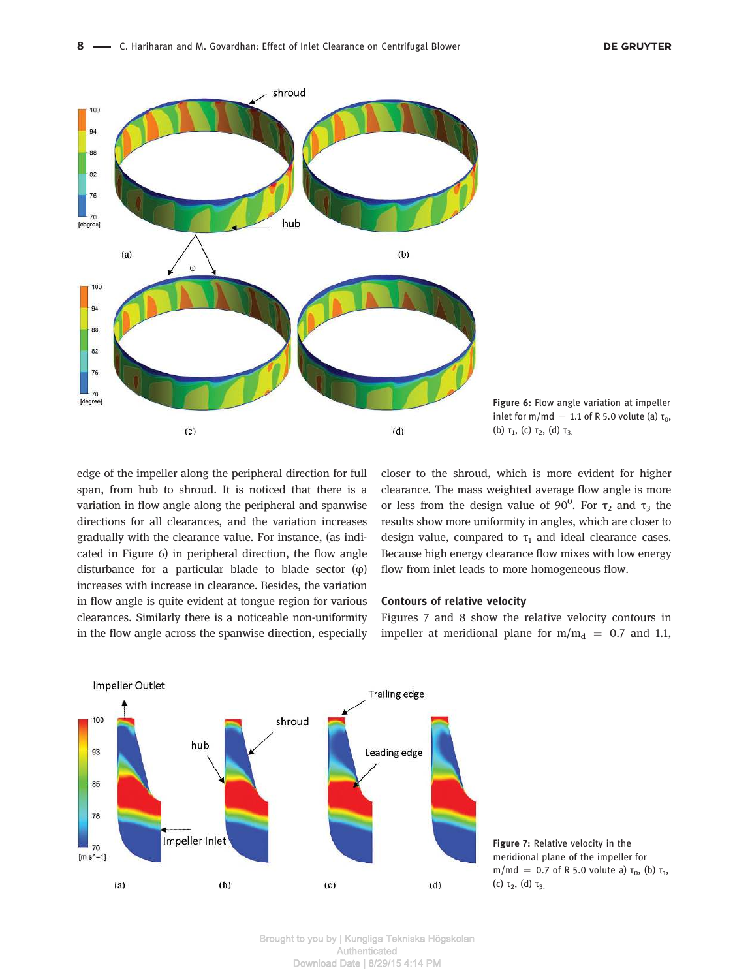

Figure 6: Flow angle variation at impeller inlet for m/md = 1.1 of R 5.0 volute (a)  $\tau_0$ , (b)  $\tau_1$ , (c)  $\tau_2$ , (d)  $\tau_3$ 

edge of the impeller along the peripheral direction for full span, from hub to shroud. It is noticed that there is a variation in flow angle along the peripheral and spanwise directions for all clearances, and the variation increases gradually with the clearance value. For instance, (as indicated in Figure 6) in peripheral direction, the flow angle disturbance for a particular blade to blade sector (φ) increases with increase in clearance. Besides, the variation in flow angle is quite evident at tongue region for various clearances. Similarly there is a noticeable non-uniformity in the flow angle across the spanwise direction, especially closer to the shroud, which is more evident for higher clearance. The mass weighted average flow angle is more or less from the design value of 90<sup>°</sup>. For  $\tau_2$  and  $\tau_3$  the results show more uniformity in angles, which are closer to design value, compared to  $\tau_1$  and ideal clearance cases. Because high energy clearance flow mixes with low energy flow from inlet leads to more homogeneous flow.

#### Contours of relative velocity

Figures 7 and 8 show the relative velocity contours in impeller at meridional plane for  $m/m_d = 0.7$  and 1.1,



Figure 7: Relative velocity in the meridional plane of the impeller for m/md = 0.7 of R 5.0 volute a)  $\tau_0$ , (b)  $\tau_1$ , (c)  $\tau_2$ , (d)  $\tau_3$ .

Brought to you by | Kungliga Tekniska Högskolan Authenticated Download Date | 8/29/15 4:14 PM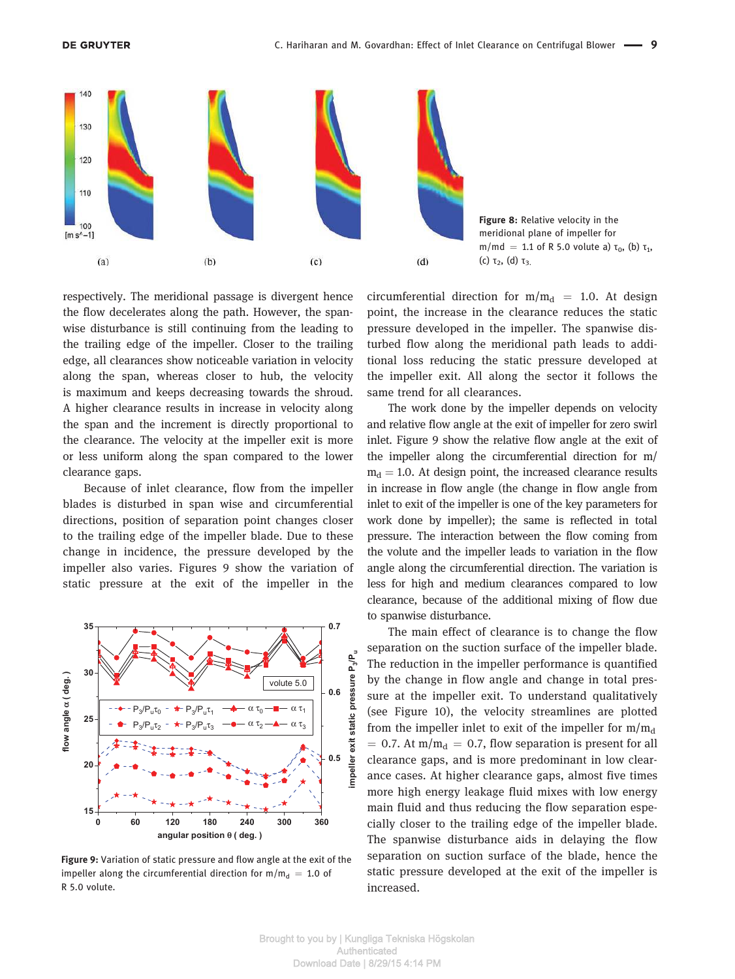



respectively. The meridional passage is divergent hence the flow decelerates along the path. However, the spanwise disturbance is still continuing from the leading to the trailing edge of the impeller. Closer to the trailing edge, all clearances show noticeable variation in velocity along the span, whereas closer to hub, the velocity is maximum and keeps decreasing towards the shroud. A higher clearance results in increase in velocity along the span and the increment is directly proportional to the clearance. The velocity at the impeller exit is more or less uniform along the span compared to the lower clearance gaps.

Because of inlet clearance, flow from the impeller blades is disturbed in span wise and circumferential directions, position of separation point changes closer to the trailing edge of the impeller blade. Due to these change in incidence, the pressure developed by the impeller also varies. Figures 9 show the variation of static pressure at the exit of the impeller in the



Figure 9: Variation of static pressure and flow angle at the exit of the impeller along the circumferential direction for  $m/m_d = 1.0$  of R 5.0 volute.

circumferential direction for  $m/m_d$  = 1.0. At design point, the increase in the clearance reduces the static pressure developed in the impeller. The spanwise disturbed flow along the meridional path leads to additional loss reducing the static pressure developed at the impeller exit. All along the sector it follows the same trend for all clearances.

The work done by the impeller depends on velocity and relative flow angle at the exit of impeller for zero swirl inlet. Figure 9 show the relative flow angle at the exit of the impeller along the circumferential direction for m/  $m_d = 1.0$ . At design point, the increased clearance results in increase in flow angle (the change in flow angle from inlet to exit of the impeller is one of the key parameters for work done by impeller); the same is reflected in total pressure. The interaction between the flow coming from the volute and the impeller leads to variation in the flow angle along the circumferential direction. The variation is less for high and medium clearances compared to low clearance, because of the additional mixing of flow due to spanwise disturbance.

The main effect of clearance is to change the flow separation on the suction surface of the impeller blade. The reduction in the impeller performance is quantified by the change in flow angle and change in total pressure at the impeller exit. To understand qualitatively (see Figure 10), the velocity streamlines are plotted from the impeller inlet to exit of the impeller for  $m/m_d$  $= 0.7$ . At m/m<sub>d</sub>  $= 0.7$ , flow separation is present for all clearance gaps, and is more predominant in low clearance cases. At higher clearance gaps, almost five times more high energy leakage fluid mixes with low energy main fluid and thus reducing the flow separation especially closer to the trailing edge of the impeller blade. The spanwise disturbance aids in delaying the flow separation on suction surface of the blade, hence the static pressure developed at the exit of the impeller is increased.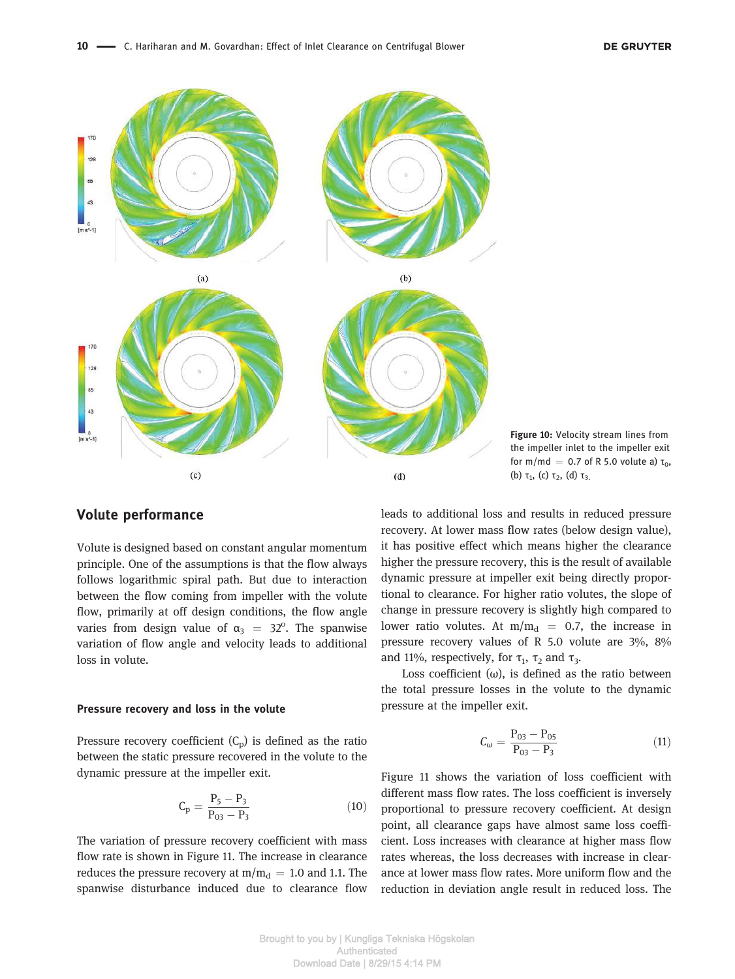

Figure 10: Velocity stream lines from the impeller inlet to the impeller exit for m/md = 0.7 of R 5.0 volute a)  $\tau_0$ , (b)  $\tau_1$ , (c)  $\tau_2$ , (d)  $\tau_3$ 

### Volute performance

Volute is designed based on constant angular momentum principle. One of the assumptions is that the flow always follows logarithmic spiral path. But due to interaction between the flow coming from impeller with the volute flow, primarily at off design conditions, the flow angle varies from design value of  $\alpha_3$  = 32<sup>o</sup>. The spanwise variation of flow angle and velocity leads to additional loss in volute.

#### Pressure recovery and loss in the volute

Pressure recovery coefficient  $(C_p)$  is defined as the ratio between the static pressure recovered in the volute to the dynamic pressure at the impeller exit.

$$
C_p = \frac{P_5 - P_3}{P_{03} - P_3} \tag{10}
$$

The variation of pressure recovery coefficient with mass flow rate is shown in Figure 11. The increase in clearance reduces the pressure recovery at  $m/m_d = 1.0$  and 1.1. The spanwise disturbance induced due to clearance flow leads to additional loss and results in reduced pressure recovery. At lower mass flow rates (below design value), it has positive effect which means higher the clearance higher the pressure recovery, this is the result of available dynamic pressure at impeller exit being directly proportional to clearance. For higher ratio volutes, the slope of change in pressure recovery is slightly high compared to lower ratio volutes. At  $m/m_d = 0.7$ , the increase in pressure recovery values of R 5.0 volute are 3%, 8% and 11%, respectively, for  $\tau_1$ ,  $\tau_2$  and  $\tau_3$ .

Loss coefficient  $(\omega)$ , is defined as the ratio between the total pressure losses in the volute to the dynamic pressure at the impeller exit.

$$
C_{\omega} = \frac{P_{03} - P_{05}}{P_{03} - P_3}
$$
 (11)

Figure 11 shows the variation of loss coefficient with different mass flow rates. The loss coefficient is inversely proportional to pressure recovery coefficient. At design point, all clearance gaps have almost same loss coefficient. Loss increases with clearance at higher mass flow rates whereas, the loss decreases with increase in clearance at lower mass flow rates. More uniform flow and the reduction in deviation angle result in reduced loss. The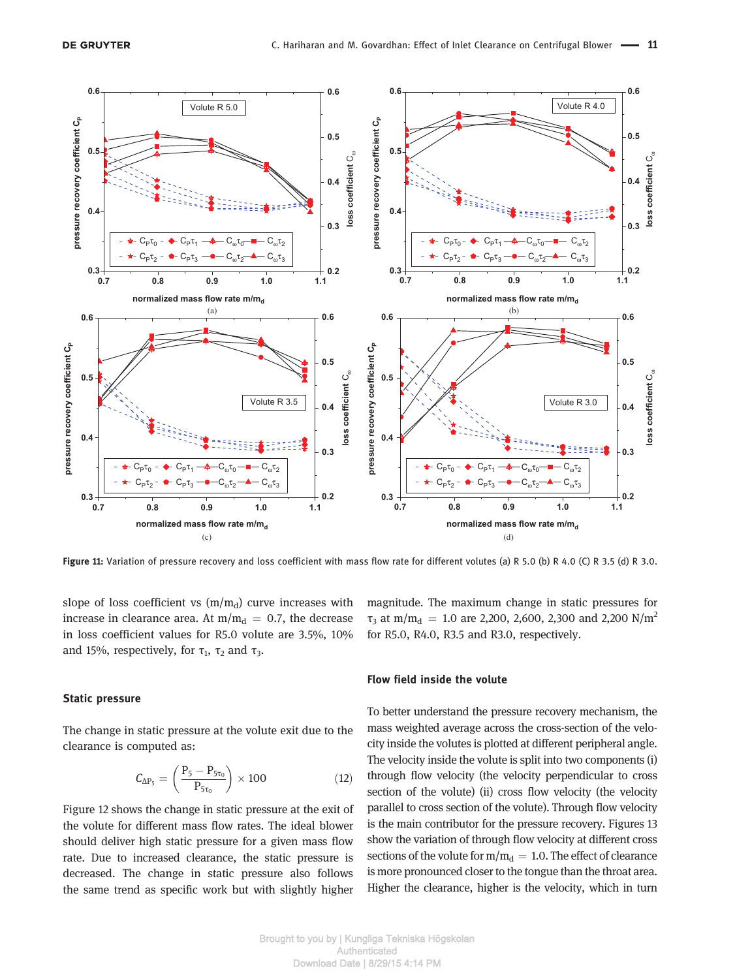

Figure 11: Variation of pressure recovery and loss coefficient with mass flow rate for different volutes (a) R 5.0 (b) R 4.0 (C) R 3.5 (d) R 3.0.

slope of loss coefficient vs  $(m/m_d)$  curve increases with increase in clearance area. At  $m/m_d = 0.7$ , the decrease in loss coefficient values for R5.0 volute are 3.5%, 10% and 15%, respectively, for  $\tau_1$ ,  $\tau_2$  and  $\tau_3$ .

#### Static pressure

The change in static pressure at the volute exit due to the clearance is computed as:

$$
C_{\Delta P_5} = \left(\frac{P_5 - P_{5\tau_0}}{P_{5\tau_0}}\right) \times 100\tag{12}
$$

Figure 12 shows the change in static pressure at the exit of the volute for different mass flow rates. The ideal blower should deliver high static pressure for a given mass flow rate. Due to increased clearance, the static pressure is decreased. The change in static pressure also follows the same trend as specific work but with slightly higher

magnitude. The maximum change in static pressures for  $τ_3$  at m/m<sub>d</sub> = 1.0 are 2,200, 2,600, 2,300 and 2,200 N/m<sup>2</sup> for R5.0, R4.0, R3.5 and R3.0, respectively.

#### Flow field inside the volute

To better understand the pressure recovery mechanism, the mass weighted average across the cross-section of the velocity inside the volutes is plotted at different peripheral angle. The velocity inside the volute is split into two components (i) through flow velocity (the velocity perpendicular to cross section of the volute) (ii) cross flow velocity (the velocity parallel to cross section of the volute). Through flow velocity is the main contributor for the pressure recovery. Figures 13 show the variation of through flow velocity at different cross sections of the volute for  $m/m_d = 1.0$ . The effect of clearance is more pronounced closer to the tongue than the throat area. Higher the clearance, higher is the velocity, which in turn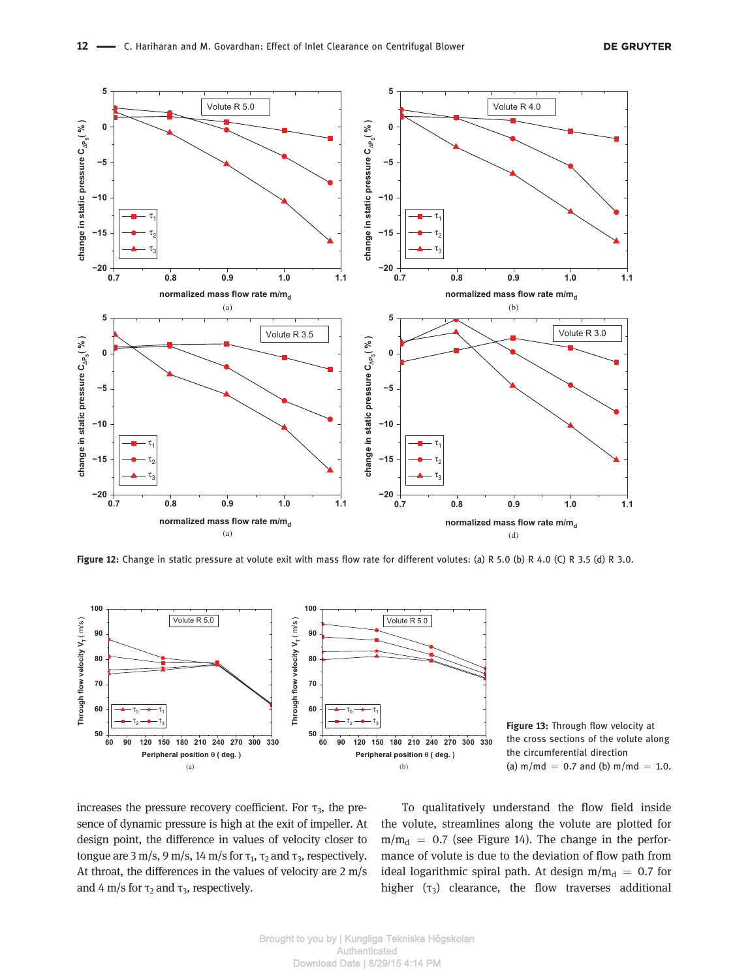

Figure 12: Change in static pressure at volute exit with mass flow rate for different volutes: (a) R 5.0 (b) R 4.0 (C) R 3.5 (d) R 3.0.



Figure 13: Through flow velocity at the cross sections of the volute along the circumferential direction (a)  $m/mol = 0.7$  and (b)  $m/mol = 1.0$ .

increases the pressure recovery coefficient. For  $\tau_3$ , the presence of dynamic pressure is high at the exit of impeller. At design point, the difference in values of velocity closer to tongue are 3 m/s, 9 m/s, 14 m/s for  $\tau_1$ ,  $\tau_2$  and  $\tau_3$ , respectively. At throat, the differences in the values of velocity are 2 m/s and 4 m/s for  $\tau_2$  and  $\tau_3$ , respectively.

To qualitatively understand the flow field inside the volute, streamlines along the volute are plotted for  $m/m_d$  = 0.7 (see Figure 14). The change in the performance of volute is due to the deviation of flow path from ideal logarithmic spiral path. At design  $m/m_d = 0.7$  for higher  $(\tau_3)$  clearance, the flow traverses additional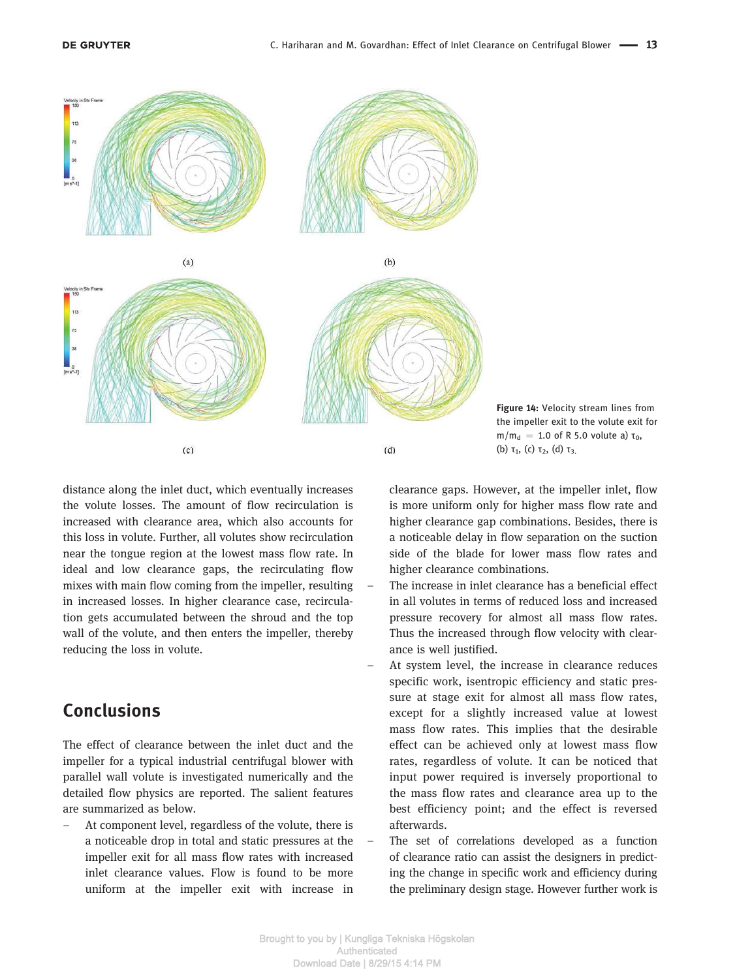

Figure 14: Velocity stream lines from the impeller exit to the volute exit for  $m/m_d = 1.0$  of R 5.0 volute a) τ<sub>0</sub>, (b)  $\tau_1$ , (c)  $\tau_2$ , (d)  $\tau_3$ 

distance along the inlet duct, which eventually increases the volute losses. The amount of flow recirculation is increased with clearance area, which also accounts for this loss in volute. Further, all volutes show recirculation near the tongue region at the lowest mass flow rate. In ideal and low clearance gaps, the recirculating flow mixes with main flow coming from the impeller, resulting in increased losses. In higher clearance case, recirculation gets accumulated between the shroud and the top wall of the volute, and then enters the impeller, thereby reducing the loss in volute.

# Conclusions

The effect of clearance between the inlet duct and the impeller for a typical industrial centrifugal blower with parallel wall volute is investigated numerically and the detailed flow physics are reported. The salient features are summarized as below.

– At component level, regardless of the volute, there is a noticeable drop in total and static pressures at the impeller exit for all mass flow rates with increased inlet clearance values. Flow is found to be more uniform at the impeller exit with increase in

clearance gaps. However, at the impeller inlet, flow is more uniform only for higher mass flow rate and higher clearance gap combinations. Besides, there is a noticeable delay in flow separation on the suction side of the blade for lower mass flow rates and higher clearance combinations.

- The increase in inlet clearance has a beneficial effect in all volutes in terms of reduced loss and increased pressure recovery for almost all mass flow rates. Thus the increased through flow velocity with clearance is well justified.
- At system level, the increase in clearance reduces specific work, isentropic efficiency and static pressure at stage exit for almost all mass flow rates, except for a slightly increased value at lowest mass flow rates. This implies that the desirable effect can be achieved only at lowest mass flow rates, regardless of volute. It can be noticed that input power required is inversely proportional to the mass flow rates and clearance area up to the best efficiency point; and the effect is reversed afterwards.
- The set of correlations developed as a function of clearance ratio can assist the designers in predicting the change in specific work and efficiency during the preliminary design stage. However further work is